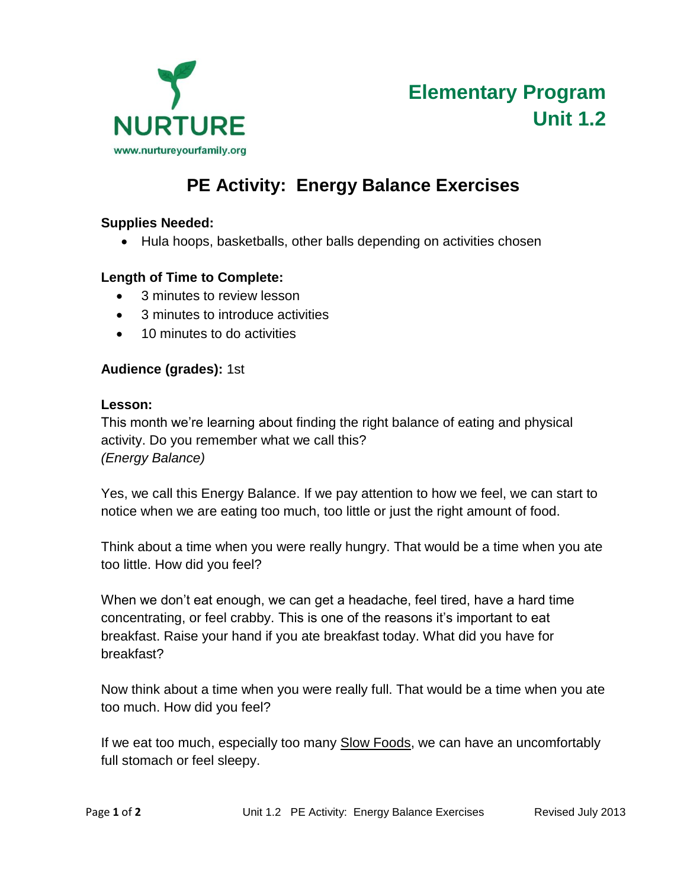

# **PE Activity: Energy Balance Exercises**

### **Supplies Needed:**

• Hula hoops, basketballs, other balls depending on activities chosen

### **Length of Time to Complete:**

- 3 minutes to review lesson
- 3 minutes to introduce activities
- 10 minutes to do activities

### **Audience (grades):** 1st

#### **Lesson:**

This month we're learning about finding the right balance of eating and physical activity. Do you remember what we call this? *(Energy Balance)*

Yes, we call this Energy Balance. If we pay attention to how we feel, we can start to notice when we are eating too much, too little or just the right amount of food.

Think about a time when you were really hungry. That would be a time when you ate too little. How did you feel?

When we don't eat enough, we can get a headache, feel tired, have a hard time concentrating, or feel crabby. This is one of the reasons it's important to eat breakfast. Raise your hand if you ate breakfast today. What did you have for breakfast?

Now think about a time when you were really full. That would be a time when you ate too much. How did you feel?

If we eat too much, especially too many Slow Foods, we can have an uncomfortably full stomach or feel sleepy.